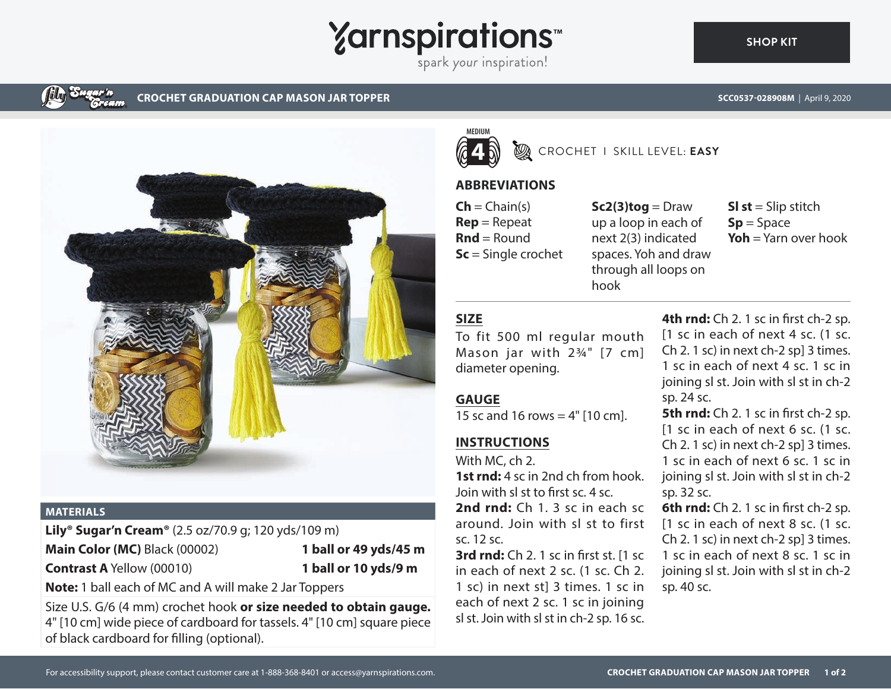

spark your inspiration!



#### **CROCHET GRADUATION CAP MASON JAR TOPPER SCC0537-028908M** | April 9, 2020



### **MATERIALS**

**Lily® Sugar'n Cream®** (2.5 oz/70.9 g; 120 yds/109 m) **Main Color (MC)** Black (00002) **1 ball or 49 yds/45 m Contrast A** Yellow (00010) **1 ball or 10 yds/9 m**

**Note:** 1 ball each of MC and A will make 2 Jar Toppers

Size U.S. G/6 (4 mm) crochet hook **or size needed to obtain gauge.** 4" [10 cm] wide piece of cardboard for tassels. 4" [10 cm] square piece of black cardboard for filling (optional).



## CROCHET I SKILL LEVEL: **EASY**

## **ABBREVIATIONS**

 $\mathsf{Ch} = \mathsf{Chain}(s)$ **Rep** = Repeat **Rnd** = Round **Sc** = Single crochet  $Sc2(3)$ tog = Draw up a loop in each of next 2(3) indicated spaces. Yoh and draw through all loops on hook

**Sl st** = Slip stitch **Sp** = Space **Yoh** = Yarn over hook

# **SIZE**

To fit 500 ml regular mouth Mason jar with 2¾" [7 cm] diameter opening.

### **GAUGE**

15 sc and 16 rows  $=$  4" [10 cm].

# **INSTRUCTIONS**

With MC, ch 2.

**1st rnd:** 4 sc in 2nd ch from hook. Join with sl st to first sc. 4 sc. **2nd rnd:** Ch 1. 3 sc in each sc around. Join with sl st to first sc. 12 sc.

**3rd rnd:** Ch 2. 1 sc in first st. [1 sc in each of next 2 sc. (1 sc. Ch 2. 1 sc) in next st] 3 times. 1 sc in each of next 2 sc. 1 sc in joining sl st. Join with sl st in ch-2 sp. 16 sc.

4th rnd: Ch 2. 1 sc in first ch-2 sp. [1 sc in each of next 4 sc. (1 sc. Ch 2. 1 sc) in next ch-2 sp] 3 times. 1 sc in each of next 4 sc. 1 sc in joining sl st. Join with sl st in ch-2 sp. 24 sc.

**5th rnd:** Ch 2. 1 sc in first ch-2 sp. [1 sc in each of next 6 sc. (1 sc. Ch 2. 1 sc) in next ch-2 sp] 3 times. 1 sc in each of next 6 sc. 1 sc in joining sl st. Join with sl st in ch-2 sp. 32 sc.

**6th rnd:** Ch 2. 1 sc in first ch-2 sp. [1 sc in each of next 8 sc. (1 sc. Ch 2. 1 sc) in next ch-2 sp] 3 times. 1 sc in each of next 8 sc. 1 sc in joining sl st. Join with sl st in ch-2 sp. 40 sc.